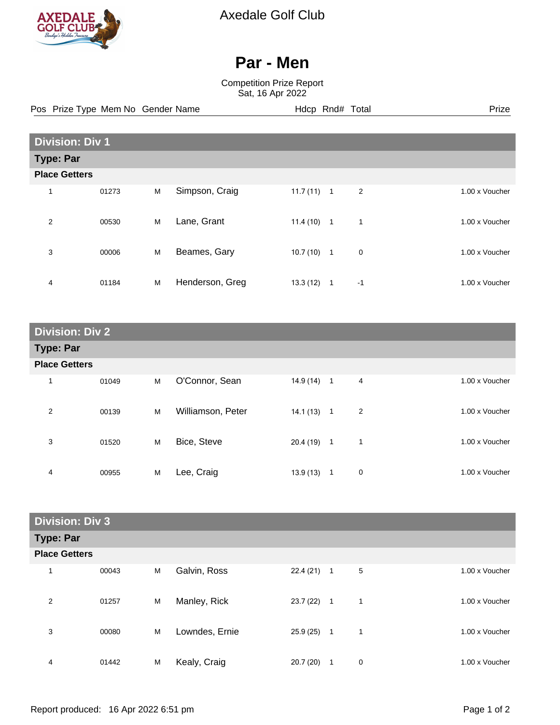

Axedale Golf Club

## **Par - Men**

Competition Prize Report Sat, 16 Apr 2022

Pos Prize Type Mem No Gender Name **Hdcp Rnd# Total** Prize Prize

|                      | <b>Division: Div 1</b> |   |                 |          |                |      |                |  |
|----------------------|------------------------|---|-----------------|----------|----------------|------|----------------|--|
| <b>Type: Par</b>     |                        |   |                 |          |                |      |                |  |
| <b>Place Getters</b> |                        |   |                 |          |                |      |                |  |
| 1                    | 01273                  | M | Simpson, Craig  | 11.7(11) | $\overline{1}$ | 2    | 1.00 x Voucher |  |
| 2                    | 00530                  | M | Lane, Grant     | 11.4(10) | $\overline{1}$ | 1    | 1.00 x Voucher |  |
| 3                    | 00006                  | M | Beames, Gary    | 10.7(10) | $\overline{1}$ | 0    | 1.00 x Voucher |  |
| 4                    | 01184                  | M | Henderson, Greg | 13.3(12) | 1              | $-1$ | 1.00 x Voucher |  |

| <b>Division: Div 2</b> |       |   |                   |              |              |                |                |  |
|------------------------|-------|---|-------------------|--------------|--------------|----------------|----------------|--|
| <b>Type: Par</b>       |       |   |                   |              |              |                |                |  |
| <b>Place Getters</b>   |       |   |                   |              |              |                |                |  |
| 1                      | 01049 | M | O'Connor, Sean    | $14.9(14)$ 1 |              | 4              | 1.00 x Voucher |  |
| 2                      | 00139 | M | Williamson, Peter | $14.1(13)$ 1 |              | $\overline{2}$ | 1.00 x Voucher |  |
| 3                      | 01520 | M | Bice, Steve       | 20.4 (19)    | $\mathbf{1}$ | $\mathbf 1$    | 1.00 x Voucher |  |
| 4                      | 00955 | M | Lee, Craig        | 13.9(13)     | $\mathbf{1}$ | 0              | 1.00 x Voucher |  |

| <b>Division: Div 3</b> |       |   |                |          |                |   |                |  |
|------------------------|-------|---|----------------|----------|----------------|---|----------------|--|
| <b>Type: Par</b>       |       |   |                |          |                |   |                |  |
| <b>Place Getters</b>   |       |   |                |          |                |   |                |  |
|                        | 00043 | M | Galvin, Ross   | 22.4(21) | $\overline{1}$ | 5 | 1.00 x Voucher |  |
| 2                      | 01257 | M | Manley, Rick   | 23.7(22) | $\overline{1}$ | 1 | 1.00 x Voucher |  |
| 3                      | 00080 | M | Lowndes, Ernie | 25.9(25) | $\overline{1}$ | 1 | 1.00 x Voucher |  |
| 4                      | 01442 | M | Kealy, Craig   | 20.7(20) | 1              | 0 | 1.00 x Voucher |  |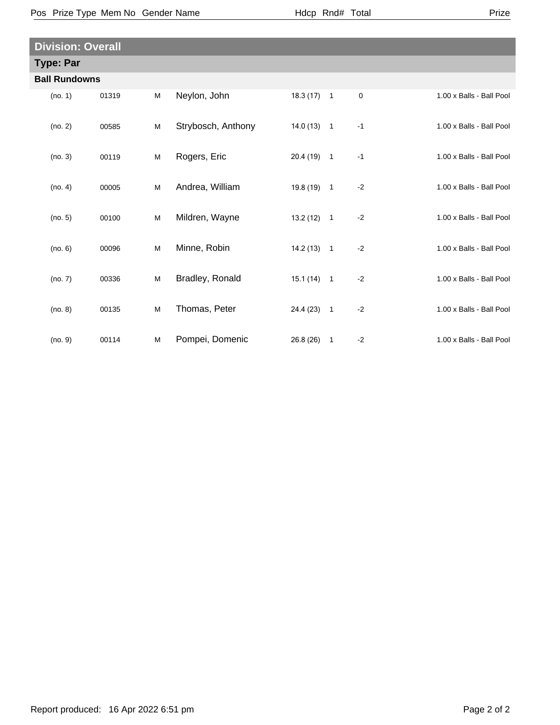Pos Prize Type Mem No Gender Name **Health Hotal** Hdcp Rnd# Total

| <b>Division: Overall</b> |       |   |                    |              |              |           |                          |  |  |
|--------------------------|-------|---|--------------------|--------------|--------------|-----------|--------------------------|--|--|
| <b>Type: Par</b>         |       |   |                    |              |              |           |                          |  |  |
| <b>Ball Rundowns</b>     |       |   |                    |              |              |           |                          |  |  |
| (no. 1)                  | 01319 | M | Neylon, John       | $18.3(17)$ 1 |              | $\pmb{0}$ | 1.00 x Balls - Ball Pool |  |  |
| (no. 2)                  | 00585 | M | Strybosch, Anthony | $14.0(13)$ 1 |              | $-1$      | 1.00 x Balls - Ball Pool |  |  |
| (no. 3)                  | 00119 | M | Rogers, Eric       | $20.4(19)$ 1 |              | $-1$      | 1.00 x Balls - Ball Pool |  |  |
| (no. 4)                  | 00005 | M | Andrea, William    | 19.8 (19) 1  |              | $-2$      | 1.00 x Balls - Ball Pool |  |  |
| (no. 5)                  | 00100 | M | Mildren, Wayne     | $13.2(12)$ 1 |              | $-2$      | 1.00 x Balls - Ball Pool |  |  |
| (no. 6)                  | 00096 | M | Minne, Robin       | $14.2(13)$ 1 |              | $-2$      | 1.00 x Balls - Ball Pool |  |  |
| (no. 7)                  | 00336 | M | Bradley, Ronald    | $15.1(14)$ 1 |              | $-2$      | 1.00 x Balls - Ball Pool |  |  |
| (no. 8)                  | 00135 | M | Thomas, Peter      | 24.4 (23) 1  |              | $-2$      | 1.00 x Balls - Ball Pool |  |  |
| (no. 9)                  | 00114 | M | Pompei, Domenic    | 26.8(26)     | $\mathbf{1}$ | $-2$      | 1.00 x Balls - Ball Pool |  |  |